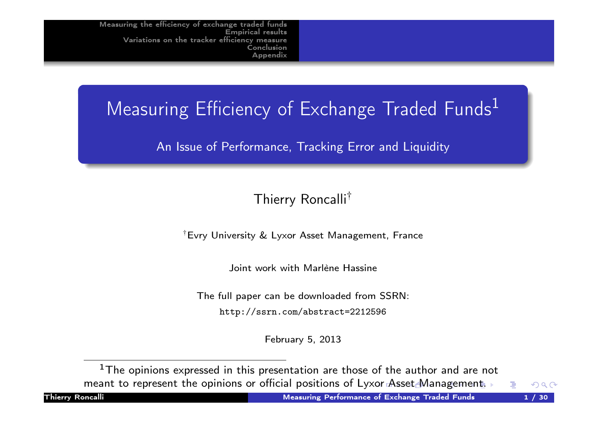# Measuring Efficiency of Exchange Traded Funds<sup>1</sup>

An Issue of Performance, Tracking Error and Liquidity

#### Thierry Roncalli†

† Evry University & Lyxor Asset Management, France

Joint work with Marlène Hassine

The full paper can be downloaded from SSRN:

http://ssrn.com/abstract=2212596

February 5, 2013

 $^{\rm 1}{\rm The}$  opinions expressed in this presentation are those of the author and are not [meant](http://ssrn.com/abstract=2212596) [to](http://ssrn.com/abstract=2212596) [represent](http://ssrn.com/abstract=2212596) the opinions or official positions of Lyxor Asset Management.

 $OQ$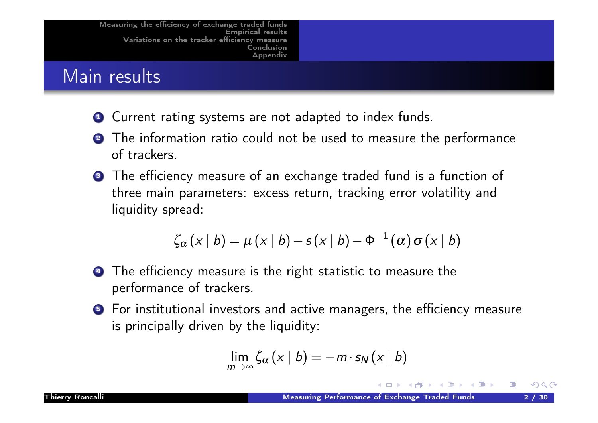# Main results

- **1** Current rating systems are not adapted to index funds.
- **2** The information ratio could not be used to measure the performance of trackers.
- **3** The efficiency measure of an exchange traded fund is a function of three main parameters: excess return, tracking error volatility and liquidity spread:

$$
\zeta_{\alpha}(x \mid b) = \mu(x \mid b) - s(x \mid b) - \Phi^{-1}(\alpha) \sigma(x \mid b)
$$

- **4** The efficiency measure is the right statistic to measure the performance of trackers.
- **5** For institutional investors and active managers, the efficiency measure is principally driven by the liquidity:

$$
\lim_{m\to\infty}\zeta_{\alpha}(x\mid b)=-m\cdot s_{N}(x\mid b)
$$

 $OQ$ 

∢ ∃ ▶ .∢ ∃ ▶.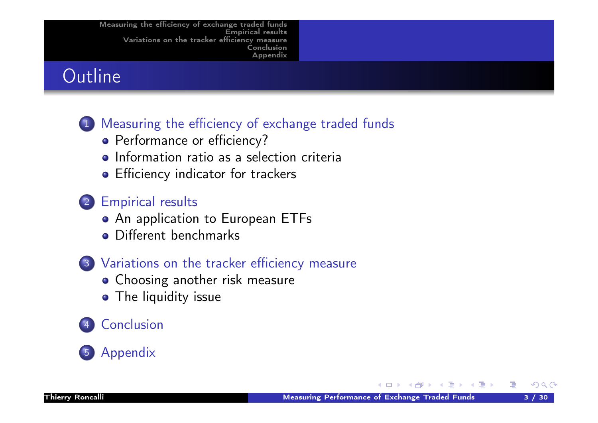# **Outline**

# <sup>1</sup> Measuring the efficiency of exchange traded funds

- Performance or efficiency?
- Information ratio as a selection criteria
- **•** Efficiency indicator for trackers

#### <sup>2</sup> Empirical results

- An application to European ETFs
- [Diff](#page-4-0)erent benchmarks

## <sup>3</sup> Variations on the tracker efficiency measure

- **[Choosing a](#page-4-0)nother risk measure**
- **[The liq](#page-5-0)uidity issue**

# **[Conclu](#page-14-0)sion**

# **[Appendix](#page-18-0)**

 $OQ$ 

DB.

④ 重 ▶ ④ 重 ▶ ○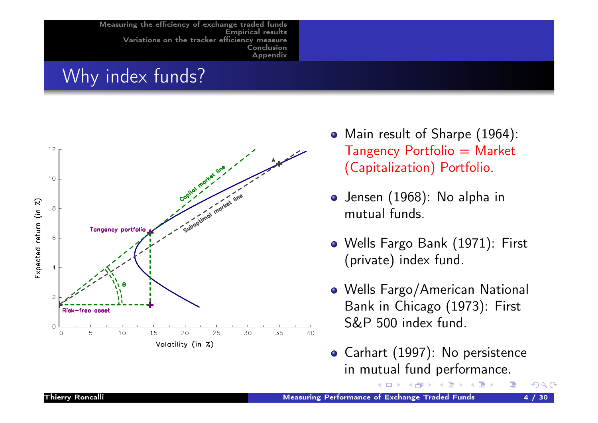# Why index funds?



- Main result of Sharpe (1964):  $Tangency$  Portfolio  $=$  Market (Capitalization) Portfolio.
- Jensen (1968): No alpha in mutual funds.
- Wells Fargo Bank (1971): First (private) index fund.
- Wells Fargo/American National Bank in Chicago (1973): First S&P 500 index fund.
- Carhart (1997): No persistence in mutual fund performance.

 $OQ$ 

→ 重 トー 重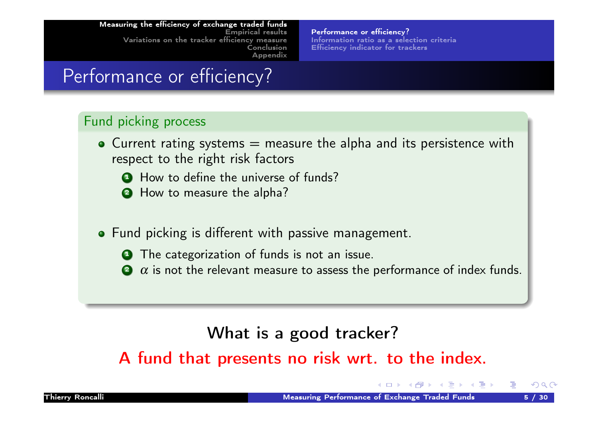Performance or efficiency? Information ratio as a selection criteria Efficiency indicator for trackers

# Performance or efficiency?

#### Fund picking process

- $\bullet$  Current rating systems  $=$  measure the alpha and its persistence with respect to the right risk factors
	- **1** How to define the universe of funds?
	- 2 How to measure the alpha?
- [Fund picking is different w](#page-4-0)ith passive management.
	- **1** The categorization of funds is not an issue.
	- $\alpha$  is not the relevant measure to assess the performance of index funds.

# <span id="page-4-0"></span>What is a good tracker?

A fund that presents no risk wrt. to the index.

 $\Omega$ 

化重复 化重复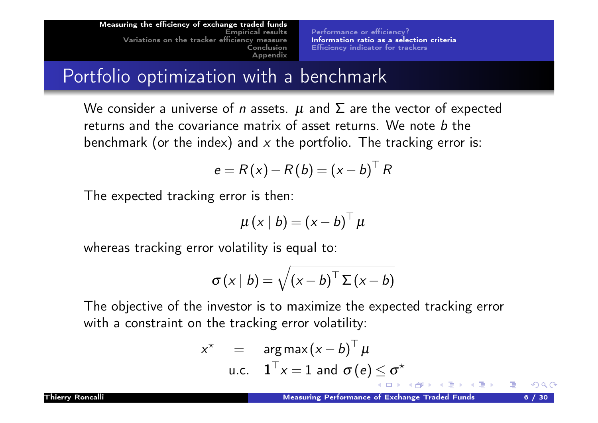Performance or efficiency? Information ratio as a selection criteria Efficiency indicator for trackers

# Portfolio optimization with a benchmark

We consider a universe of *n* assets.  $\mu$  and  $\Sigma$  are the vector of expected returns and the covariance matrix of asset returns. We note  $b$  the benchmark (or the index) and  $x$  the portfolio. The tracking error is:

$$
e = R(x) - R(b) = (x - b)^{\top} R
$$

The expected tracking error is then:

$$
\mu(x \mid b) = (x - b)^{\top} \mu
$$

[whereas](#page-25-0) [tracking error volatilit](#page-9-0)y is equal to:

$$
\sigma(x \mid b) = \sqrt{(x - b)^{\top} \Sigma(x - b)}
$$

The objective of the investor is to maximize the expected tracking error with a constraint on the tracking error volatility:

<span id="page-5-0"></span>
$$
x^* = \operatorname{arg} \max(x - b)^{\top} \mu
$$
  
u.c.  $\mathbf{1}^{\top} x = 1$  and  $\sigma(e) \le \sigma^*$ 

 $\Omega$ 

→ 重 ★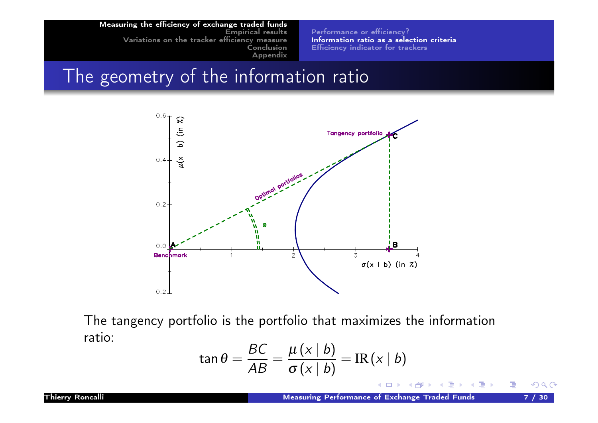Performance or efficiency? Information ratio as a selection criteria Efficiency indicator for trackers

# The geometry of the information ratio



The tangency portfolio is the portfolio that maximizes the information ratio:

$$
\tan \theta = \frac{BC}{AB} = \frac{\mu (x | b)}{\sigma (x | b)} = \text{IR}(x | b)
$$

イロト イ伊 ト イヨ ト イヨ トー

 $OQ$ 

活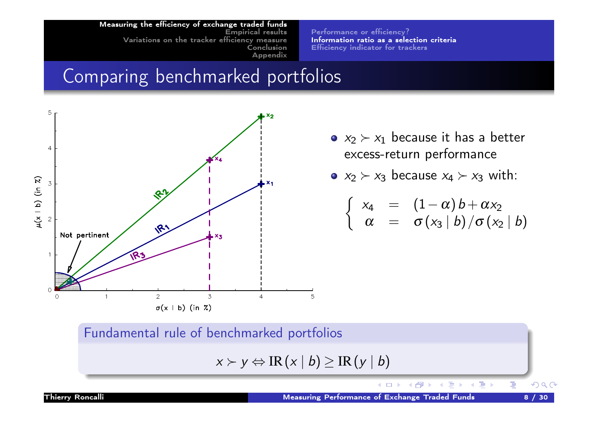Performance or efficiency? Information ratio as a selection criteria Efficiency indicator for trackers

# Comparing benchmarked portfolios



- $x_2 \succ x_1$  because it has a better excess-return performance
- $x_2 \succ x_3$  because  $x_4 \succ x_3$  with:

$$
\left\{\begin{array}{rcl} x_4 & = & (1 - \alpha) b + \alpha x_2 \\ \alpha & = & \sigma \left(x_3 \mid b\right) / \sigma \left(x_2 \mid b\right) \end{array}\right.
$$

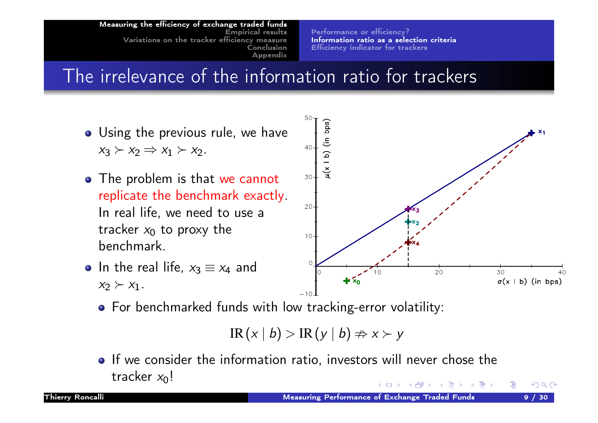Performance or efficiency? Information ratio as a selection criteria Efficiency indicator for trackers

# The irrelevance of the information ratio for trackers

- Using the previous rule, we have  $x_3 \succ x_2 \Rightarrow x_1 \succ x_2$ .
- The problem is that we cannot replicate the benchmark exactly. In real life, we need to use a [tracke](#page-4-0)r  $x_0$  [to proxy the](#page-4-0) [benc](#page-25-0)[hmark.](#page-9-0)





For benchmarked funds with low tracking-error volatility:

$$
\mathrm{IR}(x \mid b) > \mathrm{IR}(y \mid b) \Rightarrow x \succ y
$$

• If we consider the information ratio, investors will never chose the tracker  $x_0$ ! ∢ ∃ ▶ .∢ ∃ ▶

 $\Omega$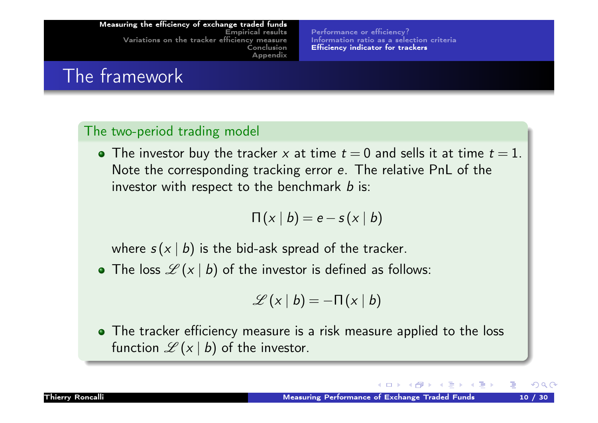Performance or efficiency? Information ratio as a selection criteria Efficiency indicator for trackers

# The framework

#### The two-period trading model

• The investor buy the tracker x at time  $t = 0$  and sells it at time  $t = 1$ . Note the corresponding tracking error e. The relative PnL of the investor with respect to the benchmark  $b$  is:

$$
\Pi(x \mid b) = e - s(x \mid b)
$$

[whe](#page-26-0)re  $s(x | b)$  [is](#page-9-0) [the](#page-9-0) [bid-](#page-9-0)ask spread of the tracker.

• The loss  $\mathscr{L}(x | b)$  of the investor is defined as follows:

<span id="page-9-0"></span>
$$
\mathscr{L}(x \mid b) = -\Pi(x \mid b)
$$

• The tracker efficiency measure is a risk measure applied to the loss function  $\mathscr{L}(x | b)$  of the investor.

 $OQ$ 

∢ 重 ≯ → 重 ≯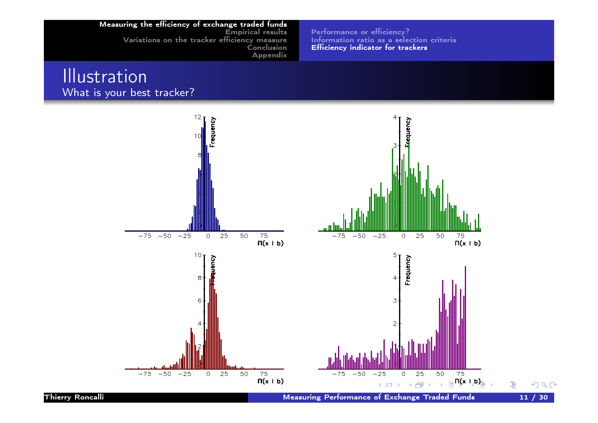Performance or efficiency? Information ratio as a selection criteria Efficiency indicator for trackers

#### **Illustration** What is your best tracker?

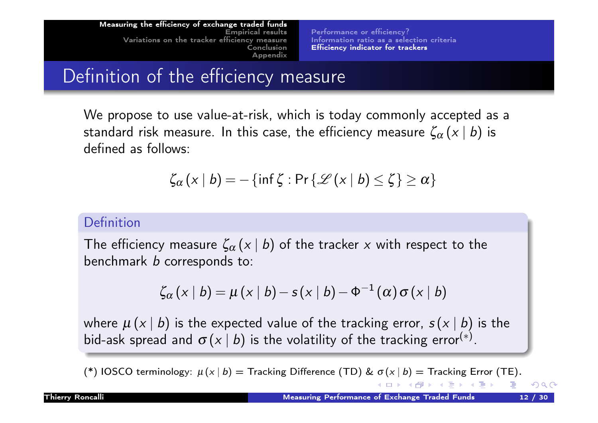Performance or efficiency? Information ratio as a selection criteria Efficiency indicator for trackers

# Definition of the efficiency measure

We propose to use value-at-risk, which is today commonly accepted as a standard risk measure. In this case, the efficiency measure  $\zeta_{\alpha}(x \mid b)$  is defined as follows:

$$
\zeta_{\alpha}(x \mid b) = -\{\inf \zeta : \Pr\{\mathscr{L}(x \mid b) \leq \zeta\} \geq \alpha\}
$$

#### [Definitio](#page-4-0)n

[The](#page-25-0)[effi](#page-25-0)[ciency measure](#page-9-0)  $\zeta_{\alpha}(x \mid b)$  of the tracker x with respect to the benchmark b corresponds to:

$$
\zeta_{\alpha}(x \mid b) = \mu(x \mid b) - s(x \mid b) - \Phi^{-1}(\alpha) \sigma(x \mid b)
$$

where  $\mu(x | b)$  is the expected value of the tracking error,  $s(x | b)$  is the bid-ask spread and  $\sigma(x \,|\: b)$  is the volatility of the tracking error $^{(*)}$ .

(\*) IOSCO terminology:  $\mu(x | b) =$  Tracking Difference (TD) &  $\sigma(x | b) =$  Tracking Error (TE). 医下环医下下 医  $OQ$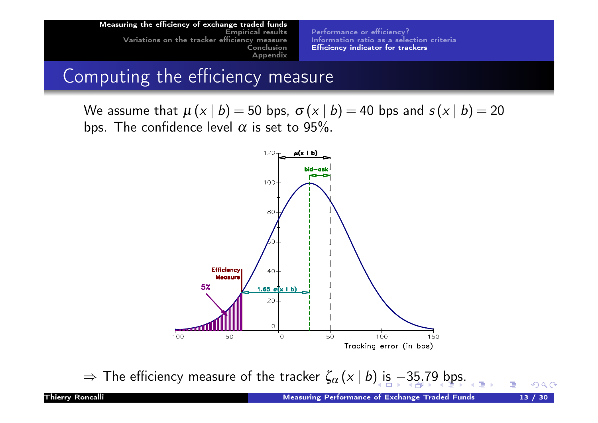Performance or efficiency? Information ratio as a selection criteria Efficiency indicator for trackers

# Computing the efficiency measure

We assume that  $\mu(x | b) = 50$  bps,  $\sigma(x | b) = 40$  bps and  $s(x | b) = 20$ bps. The confidence level  $\alpha$  is set to 95%.



 $\Rightarrow$  The efficiency measure of the tracker  $\zeta_{\alpha}(x | b)$  is −35.79 bps.

 $OQ$ 

重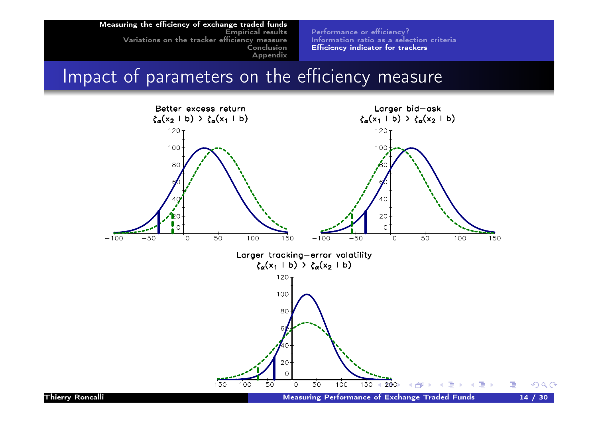Performance or efficiency? Information ratio as a selection criteria Efficiency indicator for trackers

# Impact of parameters on the efficiency measure

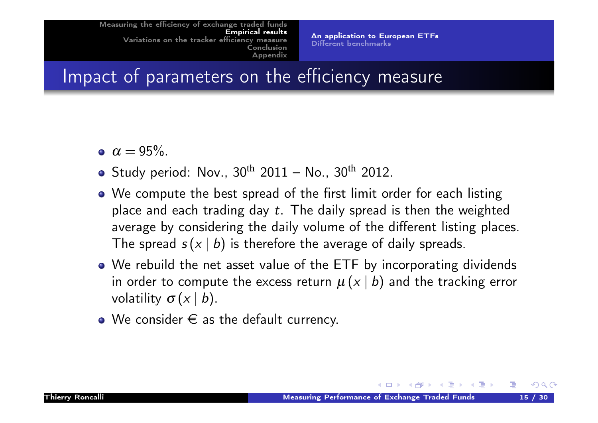An application to European ETFs Different benchmarks

Impact of parameters on the efficiency measure

- $\alpha = 95\%$ .
- Study period: Nov.,  $30^{th}$  2011 No.,  $30^{th}$  2012.
- We compute the best spread of the first limit order for each listing place and each trading day  $t$ . The daily spread is then the weighted [ave](#page-4-0)rage by considering the daily volume of the different listing places. [Th](#page-25-0)[e spread](#page-17-0)  $s(x | b)$  is therefore the average of daily spreads.
- We rebuild the net asset value of the ETF by incorporating dividends in order to compute the excess return  $\mu(x | b)$  and the tracking error volatility  $\sigma(x \mid b)$ .
- <span id="page-14-0"></span> $\bullet$  We consider  $\epsilon$  as the default currency.

- 제품 ▶ 제품 ▶ - 동

 $OQ$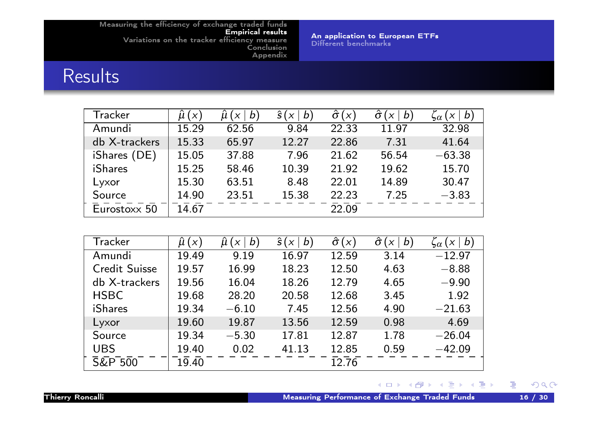An application to European ETFs Different benchmarks

# Results

| Tracker        | $\mu(x)$ | b<br>$\boldsymbol{\mathsf{X}}$ | $\hat{s}(x)$<br>$\bm{b}$ | $\hat{\sigma}(x)$ | $\bm{b}$<br>$\sigma$<br>X | $\bm{b}$<br>$\vert X \vert$<br>$\varsigma_\alpha$ |
|----------------|----------|--------------------------------|--------------------------|-------------------|---------------------------|---------------------------------------------------|
| Amundi         | 15.29    | 62.56                          | 9.84                     | 22.33             | 11.97                     | 32.98                                             |
| db X-trackers  | 15.33    | 65.97                          | 12.27                    | 22.86             | 7.31                      | 41.64                                             |
| iShares (DE)   | 15.05    | 37.88                          | 7.96                     | 21.62             | 56.54                     | $-63.38$                                          |
| <b>iShares</b> | 15.25    | 58.46                          | 10.39                    | 21.92             | 19.62                     | 15.70                                             |
| Lyxor          | 15.30    | 63.51                          | 8.48                     | 22.01             | 14.89                     | 30.47                                             |
| Source         | 14.90    | 23.51                          | 15.38                    | 22.23             | 7.25                      | $-3.83$                                           |
| Eurostoxx 50   | 14.67    |                                |                          | 22.09             |                           |                                                   |

| Tracker              | $\hat{\mu}$ ( $\times$ ) | b<br>Û<br>$\boldsymbol{\mathsf{X}}$ | ŝ<br>b<br>$\chi$ | $\hat{\sigma}(x)$ | $\hat{\sigma}$<br>$\bm{b}$<br>$\boldsymbol{\mathsf{X}}$ | $\bm{b}$<br>$\boldsymbol{X}$<br>$\mathbf{z}$ |
|----------------------|--------------------------|-------------------------------------|------------------|-------------------|---------------------------------------------------------|----------------------------------------------|
| Amundi               | 19.49                    | 9.19                                | 16.97            | 12.59             | 3.14                                                    | $-12.97$                                     |
| <b>Credit Suisse</b> | 19.57                    | 16.99                               | 18.23            | 12.50             | 4.63                                                    | $-8.88$                                      |
| db X-trackers        | 19.56                    | 16.04                               | 18.26            | 12.79             | 4.65                                                    | $-9.90$                                      |
| <b>HSBC</b>          | 19.68                    | 28.20                               | 20.58            | 12.68             | 3.45                                                    | 1.92                                         |
| <b>iShares</b>       | 19.34                    | $-6.10$                             | 7.45             | 12.56             | 4.90                                                    | $-21.63$                                     |
| Lyxor                | 19.60                    | 19.87                               | 13.56            | 12.59             | 0.98                                                    | 4.69                                         |
| Source               | 19.34                    | $-5.30$                             | 17.81            | 12.87             | 1.78                                                    | $-26.04$                                     |
| <b>UBS</b>           | 19.40                    | 0.02                                | 41.13            | 12.85             | 0.59                                                    | $-42.09$                                     |
| <b>S&amp;P 500</b>   | 19.40                    |                                     |                  | 12.76             |                                                         |                                              |

#### メロトメ 伊 トメ 君 トメ 君 トッ 君  $\mathcal{P}(\mathcal{A}) \subset \mathcal{P}(\mathcal{A})$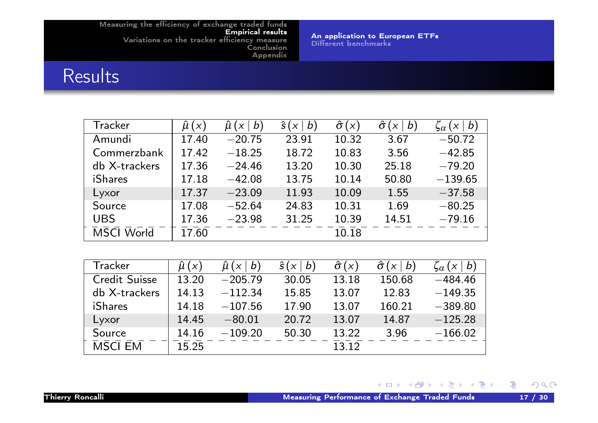An application to European ETFs Different benchmarks

# Results

| <b>Tracker</b>    | $\hat{\mu}$ $(x)$ | $\mu(x)$<br>$\bm{b}$ | $\hat{s}(x)$<br>$\bm{b}$ | $\hat{\sigma}(x)$ | $\hat{\sigma}$<br>$\bm{b}$<br>$\chi$ | $\zeta_{\alpha}(x \mid b)$ |
|-------------------|-------------------|----------------------|--------------------------|-------------------|--------------------------------------|----------------------------|
| Amundi            | 17.40             | $-20.75$             | 23.91                    | 10.32             | 3.67                                 | $-50.72$                   |
| Commerzbank       | 17.42             | $-18.25$             | 18.72                    | 10.83             | 3.56                                 | $-42.85$                   |
| db X-trackers     | 17.36             | $-24.46$             | 13.20                    | 10.30             | 25.18                                | $-79.20$                   |
| <b>iShares</b>    | 17.18             | $-42.08$             | 13.75                    | 10.14             | 50.80                                | $-139.65$                  |
| Lyxor             | 17.37             | $-23.09$             | 11.93                    | 10.09             | 1.55                                 | $-37.58$                   |
| Source            | 17.08             | $-52.64$             | 24.83                    | 10.31             | 1.69                                 | $-80.25$                   |
| <b>UBS</b>        | 17.36             | $-23.98$             | 31.25                    | 10.39             | 14.51                                | $-79.16$                   |
| <b>MSCI World</b> | 17.60             |                      |                          | 10.18             |                                      |                            |
|                   |                   |                      |                          |                   |                                      |                            |

| Tracker              | $\hat{\mu}$ $(x)$ | $\bm{b}$<br>$\boldsymbol{\mathsf{X}}$ | $\hat{s}(x)$<br>$\bm{b}$ | $\hat{\sigma}(x)$ | $\bm{b}$<br>$\chi$ | $\bm{b}$<br>$\chi$<br>$\varsigma_\alpha$ |
|----------------------|-------------------|---------------------------------------|--------------------------|-------------------|--------------------|------------------------------------------|
| <b>Credit Suisse</b> | 13.20             | $-205.79$                             | 30.05                    | 13.18             | 150.68             | $-484.46$                                |
| db X-trackers        | 14.13             | $-112.34$                             | 15.85                    | 13.07             | 12.83              | $-149.35$                                |
| <b>iShares</b>       | 14.18             | $-107.56$                             | 17.90                    | 13.07             | 160.21             | $-389.80$                                |
| Lyxor                | 14.45             | $-80.01$                              | 20.72                    | 13.07             | 14.87              | $-125.28$                                |
| Source               | 14.16             | $-109.20$                             | 50.30                    | 13.22             | 3.96               | $-166.02$                                |
| <b>MSCI EM</b>       | 15.25             |                                       |                          | 13.12             |                    |                                          |

#### メロトメ 伊 トメ き トメ き トッ きっ  $\mathcal{P}(\mathcal{A}) \subset \mathcal{P}(\mathcal{A})$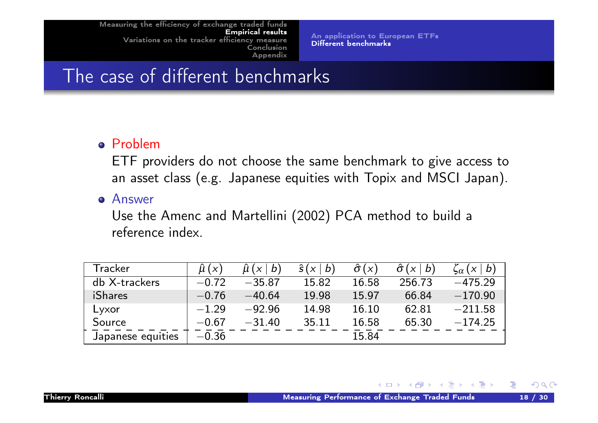An application to European ETFs Different benchmarks

# The case of different benchmarks

#### Problem

ETF providers do not choose the same benchmark to give access to an asset class (e.g. Japanese equities with Topix and MSCI Japan).

Answer

Use the Amenc and Martellini (2002) PCA method to build a [ref](#page-4-0)[erence index.](#page-14-0)

| Tracker           | $\hat{\mu}$ ( $\times$ ) | $\hat{\mu}$ ( $\times$ )<br>$\lfloor b \rfloor$ | $\hat{s}(x)$<br>$\bm{b}$ | $\hat{\sigma}(x)$ | $\hat{\sigma}(x)$<br>b | $\zeta_{\alpha}(x \mid b)$ |
|-------------------|--------------------------|-------------------------------------------------|--------------------------|-------------------|------------------------|----------------------------|
| db X-trackers     | $-0.72$                  | $-35.87$                                        | 15.82                    | 16.58             | 256.73                 | $-475.29$                  |
| iShares           | $-0.76$                  | $-40.64$                                        | 19.98                    | 15.97             | 66.84                  | $-170.90$                  |
| Lyxor             | $-1.29$                  | $-92.96$                                        | 14.98                    | 16.10             | 62.81                  | $-211.58$                  |
| Source            | $-0.67$                  | $-31.40$                                        | 35.11                    | 16.58             | 65.30                  | $-174.25$                  |
| Japanese equities | $-0.36$                  |                                                 |                          | 15.84             |                        |                            |

<span id="page-17-0"></span>◀ □ ▶ ◀ @ ▶ ◀ 듣 ▶ ◀ 듣 ▶ ...

 $OQ$ 

DB.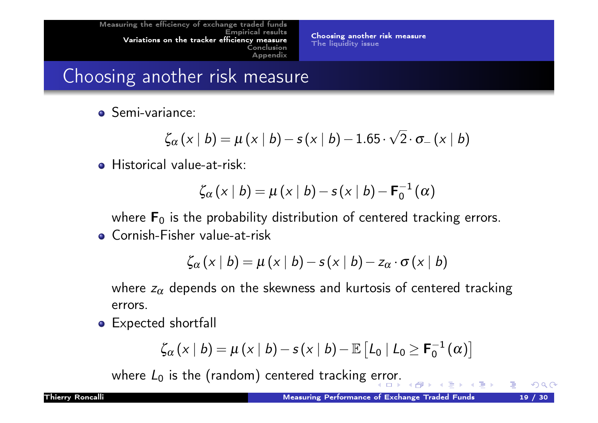Choosing another risk measure The liquidity issue

# Choosing another risk measure

Semi-variance:

$$
\zeta_{\alpha}(x \mid b) = \mu(x \mid b) - s(x \mid b) - 1.65 \cdot \sqrt{2} \cdot \sigma_{-}(x \mid b)
$$

**•** Historical value-at-risk:

$$
\zeta_{\alpha}(x \mid b) = \mu(x \mid b) - s(x \mid b) - \mathbf{F}_{0}^{-1}(\alpha)
$$

where  $F_0$  is the probability distribution of centered tracking errors.

[Co](#page-4-0)[rnish-Fisher value-at-ri](#page-18-0)sk

$$
\zeta_{\alpha}(x \mid b) = \mu(x \mid b) - s(x \mid b) - z_{\alpha} \cdot \sigma(x \mid b)
$$

where  $z_\alpha$  depends on the skewness and kurtosis of centered tracking errors.

Expected shortfall

<span id="page-18-0"></span>
$$
\zeta_{\alpha}(x \mid b) = \mu(x \mid b) - s(x \mid b) - \mathbb{E}\left[L_0 \mid L_0 \geq \mathbf{F}_0^{-1}(\alpha)\right]
$$

where  $L_0$  is the (random) centered tracking error.

 $OQ$ 

 $\mathbb{B}$  is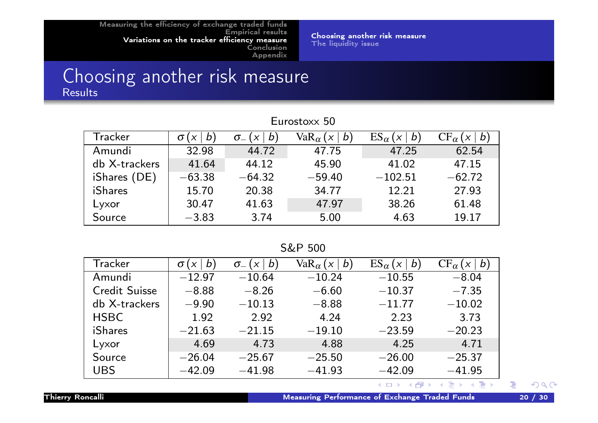Choosing another risk measure The liquidity issue

#### Choosing another risk measure Results

| Eurostoxx 50   |          |                                              |                                            |                                                 |                           |  |  |  |
|----------------|----------|----------------------------------------------|--------------------------------------------|-------------------------------------------------|---------------------------|--|--|--|
| Tracker        | b        | b<br>$\boldsymbol{\mathsf{X}}$<br>$\sigma_-$ | Va $\rm R_{\alpha}$ ( $\times$<br>$\bm{b}$ | $ES_{\alpha}$<br>b<br>$\boldsymbol{\mathsf{X}}$ | $CF_{\alpha}$<br>$\bm{b}$ |  |  |  |
| Amundi         | 32.98    | 44.72                                        | 47.75                                      | 47.25                                           | 62.54                     |  |  |  |
| db X-trackers  | 41.64    | 44.12                                        | 45.90                                      | 41.02                                           | 47.15                     |  |  |  |
| iShares (DE)   | $-63.38$ | $-64.32$                                     | $-59.40$                                   | $-102.51$                                       | $-62.72$                  |  |  |  |
| <b>iShares</b> | 15.70    | 20.38                                        | 34.77                                      | 12.21                                           | 27.93                     |  |  |  |
| Lyxor          | 30.47    | 41.63                                        | 47.97                                      | 38.26                                           | 61.48                     |  |  |  |
| Source         | $-3.83$  | 3.74                                         | 5.00                                       | 4.63                                            | 19.17                     |  |  |  |

#### S&P 500

| Tracker              | b<br>$\sigma$ | b)<br>$\sigma_{-}$<br>X | Va $\rm R_{\alpha}$<br>$\bm{b}$<br>$\times$ | $ES_{\alpha}$<br>b | $CF_{\alpha}$ '<br>b |
|----------------------|---------------|-------------------------|---------------------------------------------|--------------------|----------------------|
| Amundi               | $-12.97$      | $-10.64$                | $-10.24$                                    | $-10.55$           | $-8.04$              |
| <b>Credit Suisse</b> | $-8.88$       | $-8.26$                 | $-6.60$                                     | $-10.37$           | $-7.35$              |
| db X-trackers        | $-9.90$       | $-10.13$                | $-8.88$                                     | $-11.77$           | $-10.02$             |
| <b>HSBC</b>          | 1.92          | 2.92                    | 4.24                                        | 2.23               | 3.73                 |
| iShares              | $-21.63$      | $-21.15$                | $-19.10$                                    | $-23.59$           | $-20.23$             |
| Lyxor                | 4.69          | 4.73                    | 4.88                                        | 4.25               | 4.71                 |
| Source               | $-26.04$      | $-25.67$                | $-25.50$                                    | $-26.00$           | $-25.37$             |
| <b>UBS</b>           | $-42.09$      | $-41.98$                | $-41.93$                                    | $-42.09$           | $-41.95$             |

#### 医霍夫氏菌科 人 (重)  $\mathcal{P}(\mathcal{A}) \subset \mathcal{P}(\mathcal{A})$ ◀ □ ▶ ◀ 何 ▶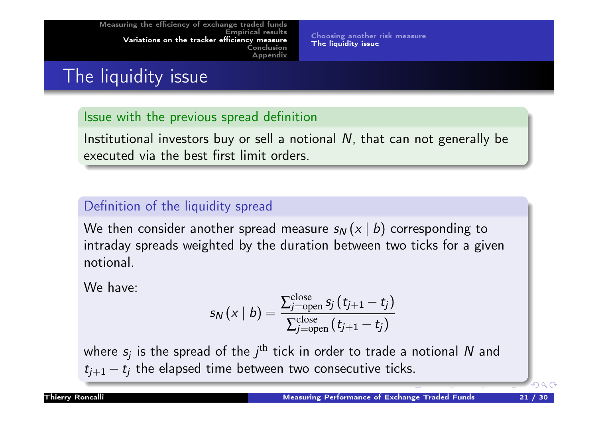Choosing another risk measure The liquidity issue

# The liquidity issue

#### Issue with the previous spread definition

Institutional investors buy or sell a notional N, that can not generally be executed via the best first limit orders.

#### Definition of the liquidity spread

[We then](#page-4-0) consider another spread measure  $s_N(x | b)$  corresponding to [intraday](#page-25-0) [spreads weighted by t](#page-20-0)he duration between two ticks for a given notional.

We have:

<span id="page-20-0"></span>
$$
s_{\textsf{N}}\left(\textsf{x} \mid b\right)=\frac{\sum_{j=\text{open}}^{\text{close}} s_j\left(t_{j+1}-t_j\right)}{\sum_{j=\text{open}}^{\text{close}}\left(t_{j+1}-t_j\right)}
$$

where  $s_j$  is the spread of the  $j^{\text{th}}$  tick in order to trade a notional  $N$  and  $t_{j+1} - t_j$  the elapsed time between two consecutive ticks.

 $\Omega$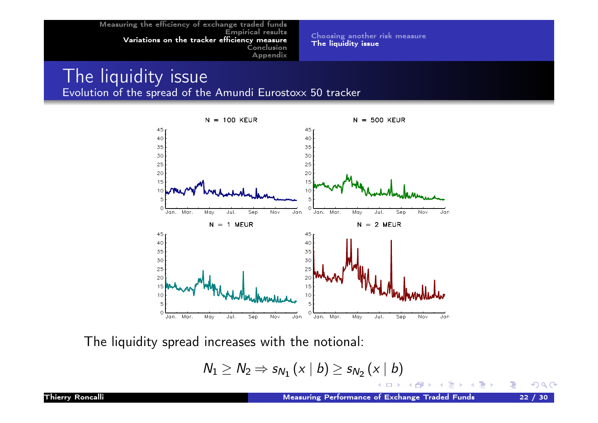Choosing another risk measure The liquidity issue

#### The liquidity issue Evolution of the spread of the Amundi Eurostoxx 50 tracker



The liquidity spread increases with the notional:

$$
N_1 \geq N_2 \Rightarrow s_{N_1}(x \mid b) \geq s_{N_2}(x \mid b)
$$

 $OQ$ 

活

4 重→

Ξ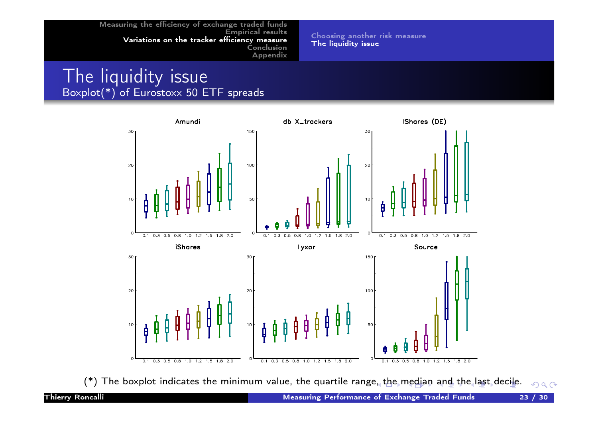Choosing another risk measure The liquidity issue

#### The liquidity issue Boxplot(\*) of Eurostoxx 50 ETF spreads



(\*) The boxplot indicates the minimum value, the quartile range, the median and the last decile.  $PQQ$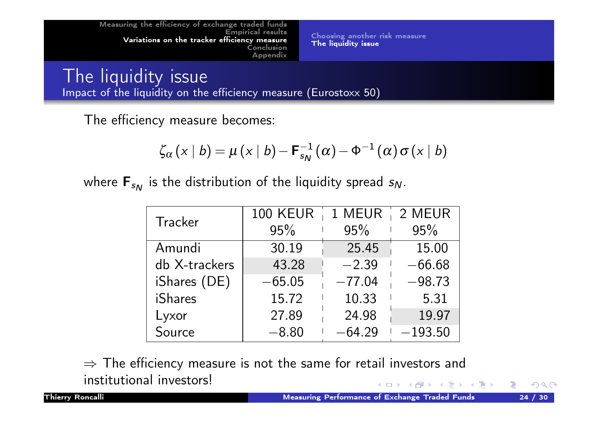Choosing another risk measure The liquidity issue

The liquidity issue Impact of the liquidity on the efficiency measure (Eurostoxx 50)

The efficiency measure becomes:

$$
\zeta_{\alpha}(x \mid b) = \mu(x \mid b) - \mathbf{F}_{s_{N}}^{-1}(\alpha) - \Phi^{-1}(\alpha) \sigma(x \mid b)
$$

where  ${\sf F}_{s_{\sf \!{\scriptscriptstyle N}}}$  is the distribution of the liquidity spread  $s_{\sf \!{\scriptscriptstyle N}}.$ 

| Tracker       | <b>100 KEUR</b> | 1 MEUR   2 MEUR |           |  |
|---------------|-----------------|-----------------|-----------|--|
|               | 95%             | 95%             | 95%       |  |
| Amundi        | 30.19           | 25.45           | 15.00     |  |
| db X-trackers | 43.28           | $-2.39$         | $-66.68$  |  |
| iShares (DE)  | $-65.05$        | $-77.04$        | $-98.73$  |  |
| iShares       | 15.72           | 10.33           | 5.31      |  |
| Lyxor         | 27.89           | 24.98           | 19.97     |  |
| Source        | $-8.80$         | $-64.29$        | $-193.50$ |  |

 $\Rightarrow$  The efficiency measure is not the same for retail investors and institutional investors! **K ロ ▶ K 御 ▶ K 君 ▶ K 君 ▶** 

 $OQ$ 

GB.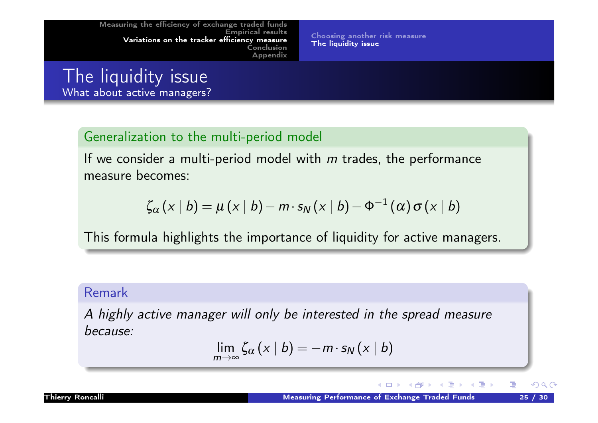Choosing another risk measure The liquidity issue

## The liquidity issue What about active managers?

#### Generalization to the multi-period model

If we consider a multi-period model with  $m$  trades, the performance measure becomes:

$$
\zeta_{\alpha}(x \mid b) = \mu(x \mid b) - m \cdot s_{N}(x \mid b) - \Phi^{-1}(\alpha) \sigma(x \mid b)
$$

[This](#page-14-0)[for](#page-14-0)[mula highlights the im](#page-18-0)portance of liquidity for active managers.

#### Remark

A highly active manager will only be interested in the spread measure because:

$$
\lim_{m\to\infty}\zeta_{\alpha}(x\mid b)=-m\cdot s_{N}(x\mid b)
$$

 $OQ$ 

€.

→ 重 ▶ → 重 ▶ →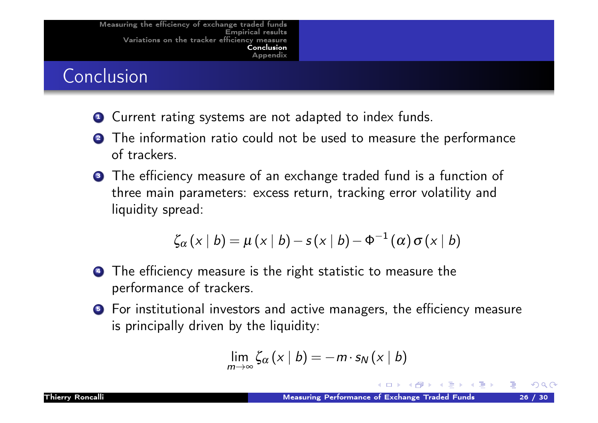# Conclusion

- **1** Current rating systems are not adapted to index funds.
- **2** The information ratio could not be used to measure the performance of trackers.
- **3** The efficiency measure of an exchange traded fund is a function of three main parameters: excess return, tracking error volatility and liquidity spread:

$$
\zeta_{\alpha}(x \mid b) = \mu(x \mid b) - s(x \mid b) - \Phi^{-1}(\alpha) \sigma(x \mid b)
$$

- **4** The efficiency measure is the right statistic to measure the performance of trackers.
- **5** For institutional investors and active managers, the efficiency measure is principally driven by the liquidity:

<span id="page-25-0"></span>
$$
\lim_{m\to\infty}\zeta_{\alpha}(x\mid b)=-m\cdot s_{N}(x\mid b)
$$

Б.,

 $OQ$ 

∢ ∃ ▶ .∢ ∃ ▶ ..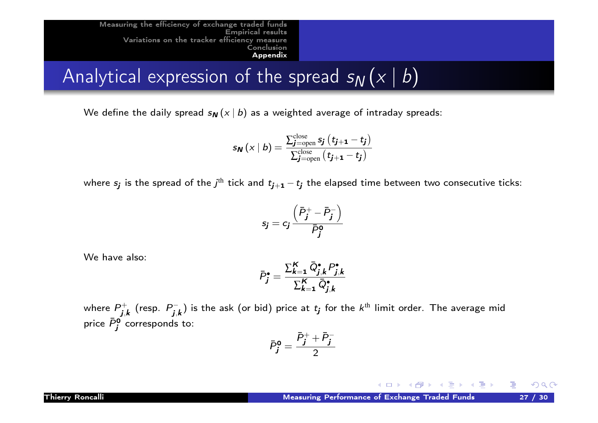Analytical expression of the spread  $s_N(x | b)$ 

We define the daily spread  $s_N(x | b)$  as a weighted average of intraday spreads:

$$
s_{\boldsymbol{N}}\left(\mathbf{x} \mid b\right) = \frac{\sum_{\boldsymbol{j}=\text{open}}^{\text{close}} s_{\boldsymbol{j}}\left(t_{\boldsymbol{j}+\boldsymbol{1}}-t_{\boldsymbol{j}}\right)}{\sum_{\boldsymbol{j}=\text{open}}^{\text{close}}\left(t_{\boldsymbol{j}+\boldsymbol{1}}-t_{\boldsymbol{j}}\right)}
$$

where  $s_{\bm j}$  is the spread of the  $j^\text{th}$  tick and  $t_{{\bm j}+{\bm 1}}-t_{\bm j}$  the elapsed time between two consecutive ticks:

$$
s_j = c_j \frac{\left(\bar{P}_j^+ - \bar{P}_j^-\right)}{\bar{P}_j^0}
$$

We have also:

$$
\bar{P}_{j}^{\bullet} = \frac{\sum_{k=1}^{K} \bar{Q}_{j,k}^{\bullet} P_{j,k}^{\bullet}}{\sum_{k=1}^{K} \bar{Q}_{j,k}^{\bullet}}
$$

where  $P_{\rm i}^+$  $j,k$  (resp.  $P_{\boldsymbol{j},k}^{-1}$  $j_{j,\boldsymbol{k}}^{\leftarrow}$ ) is the ask (or bid) price at  $t_{\boldsymbol{j}}$  for the  $k^\text{th}$  limit order. The average mid price  $\bar{P}^{\mathbf{0}}_j$  corresponds to:

<span id="page-26-0"></span>
$$
\bar{P}_{\pmb{j}}^{\mathbf{0}}=\frac{\bar{P}_{\pmb{j}}^{+}+\bar{P}_{\pmb{j}}^{-}}{2}
$$

Thierry Roncalli **Measuring Performance of Exchange Traded Funds** 27 / 30

K ロ ▶ K @ ▶ K 할 ▶ K 할 ▶ .. 할

 $OQ$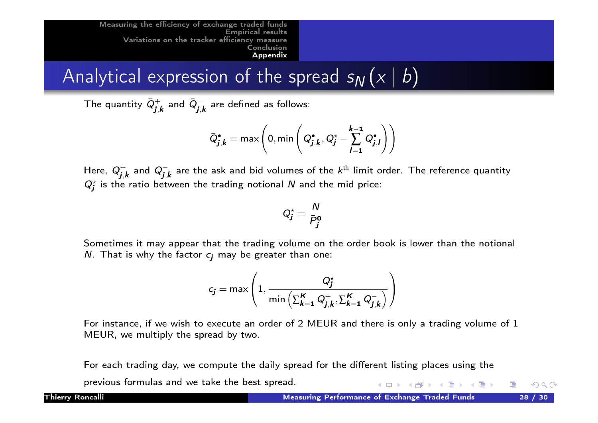Analytical expression of the spread  $s_N$   $(x | b)$ 

The quantity  $\bar{Q}^+_i$  $_{\bm{j},\bm{k}}^+$  and  $\bar{\bm{Q}}_{\bm{j},\bm{k}}^ \bar{j,k}$  are defined as follows:

$$
\bar{Q}_{\pmb{j},\pmb{k}}^{\bullet} = \max \left(0, \min \left(Q_{\pmb{j},\pmb{k}}^{\bullet}, Q_{\pmb{j}}^{\star} - \sum_{l=1}^{\pmb{k}-\pmb{1}} Q_{\pmb{j},\pmb{l}}^{\bullet}\right)\right)
$$

Here,  $Q_i^+$  $j_{j,k}^{+}$  and  $Q_{\boldsymbol{j},\boldsymbol{k}}^{-}$  are the ask and bid volumes of the  $k^\text{th}$  limit order. The reference quantity  $Q_j^{\star}$  is the ratio between the trading notional N and the mid price:

$$
Q_j^\star = \frac{N}{\bar{P}_j^{\mathbf{0}}}
$$

[Sometimes](#page-25-0) it may appear that the trading volume on the order book is lower than the notional N. That is why the factor  $c_i$  may be greater than one:

$$
c_j = \max\left(1, \frac{Q_j^\star}{\min\left(\sum_{k=1}^K Q_{j,k}^+, \sum_{k=1}^K Q_{j,k}^-\right)}\right)
$$

For instance, if we wish to execute an order of 2 MEUR and there is only a trading volume of 1 MEUR, we multiply the spread by two.

For each trading day, we compute the daily spread for the different listing places using the previous formulas and we take the best spread. イロト イ団 ト イミト イモトー

 $OQ$ 

(重)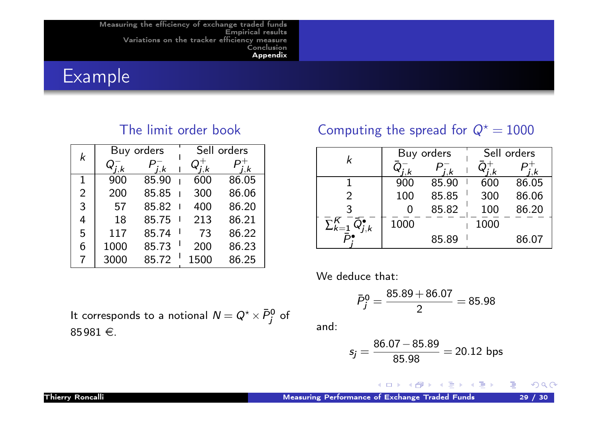Example

#### The limit order book

| k              |      | Buy orders |  |      | Sell orders |  |  |
|----------------|------|------------|--|------|-------------|--|--|
|                |      | i.k        |  | ĸ    | .k          |  |  |
| 1              | 900  | 85.90      |  | 600  | 86.05       |  |  |
| $\overline{2}$ | 200  | 85.85      |  | 300  | 86.06       |  |  |
| 3              | 57   | 85.82      |  | 400  | 86.20       |  |  |
| 4              | 18   | 85.75      |  | 213  | 86.21       |  |  |
| 5              | 117  | 85.74      |  | 73   | 86.22       |  |  |
| 6              | 1000 | 85.73      |  | 200  | 86.23       |  |  |
| 7              | 3000 | 85.72      |  | 1500 | 86.25       |  |  |

It corresponds to a notional  $\mathcal{N} = Q^\star \times \bar{P}^0_j$  of

Computing the spread for  $Q^* = 1000$ 

|                |      | Buy orders | Sell orders |       |  |
|----------------|------|------------|-------------|-------|--|
|                |      | k, k       |             |       |  |
|                | 900  | 85.90      | 600         | 86.05 |  |
| 2              | 100  | 85.85      | 300         | 86.06 |  |
|                |      | 85.82      | 100         | 86.20 |  |
| $\sum_{k=1}^K$ | 1000 |            | 1000        |       |  |
|                |      | 85.89      |             | 86.07 |  |

We deduce that:

$$
\bar{P}_j^0 = \frac{85.89 + 86.07}{2} = 85.98
$$

and:

$$
\mathbf{a} = \mathbf{a} \cdot \mathbf{b}
$$

$$
s_j = \frac{86.07 - 85.89}{85.98} = 20.12 \text{ bps}
$$

◀ ロ ▶ ◀ @ ▶ ◀ 듣 ▶ ◀ 듣 ▶ ...

 $85981 \in .$ 

 $\mathcal{P}(\mathcal{A}) \subset \mathcal{P}(\mathcal{A})$ 

- 重。